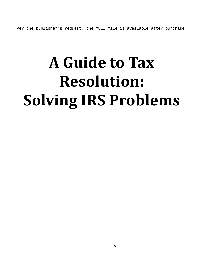Per the publisher's request, the full file is available after purchase.

# **A Guide to Tax Resolution: Solving IRS Problems**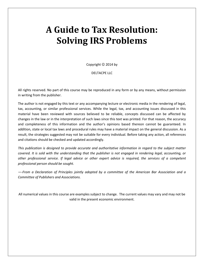## **A Guide to Tax Resolution: Solving IRS Problems**

Copyright  $©$  2014 by

DELTACPE LLC

All rights reserved. No part of this course may be reproduced in any form or by any means, without permission in writing from the publisher.

The author is not engaged by this text or any accompanying lecture or electronic media in the rendering of legal, tax, accounting, or similar professional services. While the legal, tax, and accounting issues discussed in this material have been reviewed with sources believed to be reliable, concepts discussed can be affected by changes in the law or in the interpretation of such laws since this text was printed. For that reason, the accuracy and completeness of this information and the author's opinions based thereon cannot be guaranteed. In addition, state or local tax laws and procedural rules may have a material impact on the general discussion. As a result, the strategies suggested may not be suitable for every individual. Before taking any action, all references and citations should be checked and updated accordingly.

*This publication is designed to provide accurate and authoritative information in regard to the subject matter covered. It is sold with the understanding that the publisher is not engaged in rendering legal, accounting, or other professional service. If legal advice or other expert advice is required, the services of a competent professional person should be sought.*

*—-From a Declaration of Principles jointly adopted by a committee of the American Bar Association and a Committee of Publishers and Associations.*

All numerical values in this course are examples subject to change. The current values may vary and may not be valid in the present economic environment.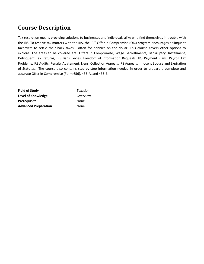### **Course Description**

Tax resolution means providing solutions to businesses and individuals alike who find themselves in trouble with the IRS. To resolve tax matters with the IRS, the IRS' Offer in Compromise (OIC) program encourages delinquent taxpayers to settle their back taxes—-often for pennies on the dollar. This course covers other options to explore. The areas to be covered are: Offers in Compromise, Wage Garnishments, Bankruptcy, Installment, Delinquent Tax Returns, IRS Bank Levies, Freedom of Information Requests, IRS Payment Plans, Payroll Tax Problems, IRS Audits, Penalty Abatement, Liens, Collection Appeals, IRS Appeals, Innocent Spouse and Expiration of Statutes. The course also contains step-by-step information needed in order to prepare a complete and accurate Offer in Compromise (Form 656), 433-A, and 433-B.

**Field of Study** Taxation **Level of Knowledge COVER COVERVIEW** Prerequisite None **Advanced Preparation** None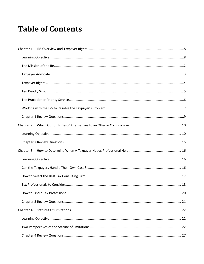## **Table of Contents**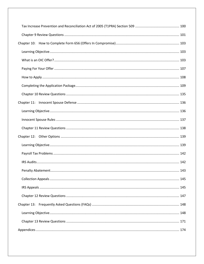| Chapter 11: |  |
|-------------|--|
|             |  |
|             |  |
|             |  |
|             |  |
|             |  |
|             |  |
|             |  |
|             |  |
|             |  |
|             |  |
|             |  |
| Chapter 13: |  |
|             |  |
|             |  |
|             |  |